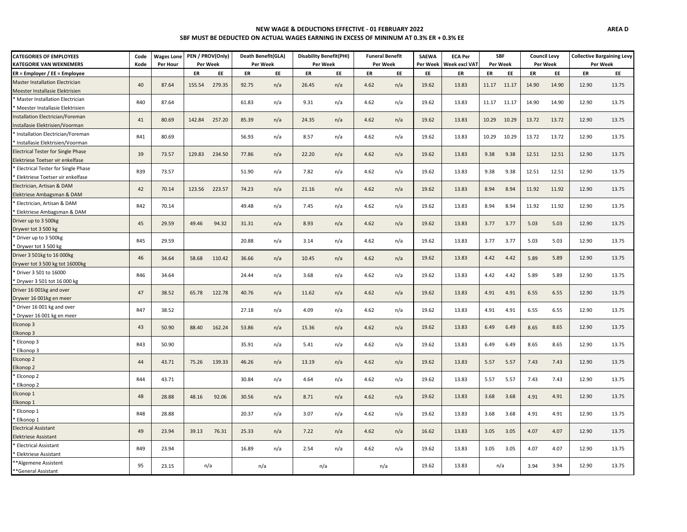## **NEW WAGE & DEDUCTIONS EFFECTIVE - 01 FEBRUARY 2022 SBF MUST BE DEDUCTED ON ACTUAL WAGES EARNING IN EXCESS OF MININUM AT 0.3% ER + 0.3% EE**

| <b>CATEGORIES OF EMPLOYEES</b>            | Code       | <b>Wages Lone</b> |               | PEN / PROV(Only)<br>Death Benefit(GLA) |          | <b>Disability Benefit(PHI)</b> |       | <b>Funeral Benefit</b> |      | <b>SAEWA</b> | <b>ECA Per</b> |                                  | <b>SBF</b> | <b>Council Levy</b> |          | <b>Collective Bargaining Levy</b> |          |       |
|-------------------------------------------|------------|-------------------|---------------|----------------------------------------|----------|--------------------------------|-------|------------------------|------|--------------|----------------|----------------------------------|------------|---------------------|----------|-----------------------------------|----------|-------|
| <b>KATEGORIE VAN WEKNEMERS</b>            | Kode       | Per Hour          |               | Per Week                               | Per Week |                                |       | Per Week               |      | Per Week     | Per Week       | <b>Week excl VAT</b><br>Per Week |            |                     | Per Week |                                   | Per Week |       |
| $ER =$ Employer / EE = Employee           |            |                   | ER            | EE                                     | ER       | EE                             | ER    | EE                     | ER   | EE           | EE             | ER                               | ER         | EE                  | ER       | EE                                | ER       | EE    |
| <b>Master Installation Electrician</b>    | 40         | 87.64             | 155.54        | 279.35                                 | 92.75    | n/a                            | 26.45 | n/a                    | 4.62 | n/a          | 19.62          | 13.83                            | 11.17      | 11.17               | 14.90    | 14.90                             | 12.90    | 13.75 |
| Meester Installasie Elektrisien           |            |                   |               |                                        |          |                                |       |                        |      |              |                |                                  |            |                     |          |                                   |          |       |
| Master Installation Electrician           | R40        | 87.64             |               |                                        | 61.83    | n/a                            | 9.31  | n/a                    | 4.62 | n/a          | 19.62          | 13.83                            | 11.17      | 11.17               | 14.90    | 14.90                             | 12.90    | 13.75 |
| Meester Installasie Elektrisien           |            |                   |               |                                        |          |                                |       |                        |      |              |                |                                  |            |                     |          |                                   |          |       |
| Installation Electrician/Foreman          | 41         | 80.69             | 142.84        | 257.20                                 | 85.39    | n/a                            | 24.35 | n/a                    | 4.62 | n/a          | 19.62          | 13.83                            | 10.29      | 10.29               | 13.72    | 13.72                             | 12.90    | 13.75 |
| Installasie Elektrisien/Voorman           |            |                   |               |                                        |          |                                |       |                        |      |              |                |                                  |            |                     |          |                                   |          |       |
| Installation Electrician/Foreman          | R41        | 80.69             |               |                                        | 56.93    | n/a                            | 8.57  | n/a                    | 4.62 | n/a          | 19.62          | 13.83                            | 10.29      | 10.29               | 13.72    | 13.72                             | 12.90    | 13.75 |
| Installasie Elektrisien/Voorman           |            |                   |               |                                        |          |                                |       |                        |      |              |                |                                  |            |                     |          |                                   |          |       |
| <b>Electrical Tester for Single Phase</b> | 39         | 73.57             |               | 129.83 234.50                          | 77.86    | n/a                            | 22.20 | n/a                    | 4.62 | n/a          | 19.62          | 13.83                            | 9.38       | 9.38                | 12.51    | 12.51                             | 12.90    | 13.75 |
| Elektriese Toetser vir enkelfase          |            |                   |               |                                        |          |                                |       |                        |      |              |                |                                  |            |                     |          |                                   |          |       |
| Electrical Tester for Single Phase        | <b>R39</b> | 73.57             |               |                                        | 51.90    | n/a                            | 7.82  | n/a                    | 4.62 | n/a          | 19.62          | 13.83                            | 9.38       | 9.38                | 12.51    | 12.51                             | 12.90    | 13.75 |
| Elektriese Toetser vir enkelfase          |            |                   |               |                                        |          |                                |       |                        |      |              |                |                                  |            |                     |          |                                   |          |       |
| Electrician, Artisan & DAM                | 42         | 70.14             | 123.56 223.57 |                                        | 74.23    | n/a                            | 21.16 | n/a                    | 4.62 | n/a          | 19.62          | 13.83                            | 8.94       | 8.94                | 11.92    | 11.92                             | 12.90    | 13.75 |
| Elektriese Ambagsman & DAM                |            |                   |               |                                        |          |                                |       |                        |      |              |                |                                  |            |                     |          |                                   |          |       |
| Electrician, Artisan & DAM                | R42        | 70.14             |               |                                        | 49.48    | n/a                            | 7.45  | n/a                    | 4.62 | n/a          | 19.62          | 13.83                            | 8.94       | 8.94                | 11.92    | 11.92                             | 12.90    | 13.75 |
| Elektriese Ambagsman & DAM                |            |                   |               |                                        |          |                                |       |                        |      |              |                |                                  |            |                     |          |                                   |          |       |
| Driver up to 3 500kg                      | 45         | 29.59             | 49.46         | 94.32                                  | 31.31    | n/a                            | 8.93  | n/a                    | 4.62 | n/a          | 19.62          | 13.83                            | 3.77       | 3.77                | 5.03     | 5.03                              | 12.90    | 13.75 |
| Drywer tot 3 500 kg                       |            |                   |               |                                        |          |                                |       |                        |      |              |                |                                  |            |                     |          |                                   |          |       |
| Driver up to 3 500kg                      | <b>R45</b> | 29.59             |               |                                        | 20.88    | n/a                            | 3.14  | n/a                    | 4.62 | n/a          | 19.62          | 13.83                            | 3.77       | 3.77                | 5.03     | 5.03                              | 12.90    | 13.75 |
| Drywer tot 3 500 kg                       |            |                   |               |                                        |          |                                |       |                        |      |              |                |                                  |            |                     |          |                                   |          |       |
| Driver 3 501kg to 16 000kg                | 46         | 34.64             | 58.68         | 110.42                                 | 36.66    | n/a                            | 10.45 | n/a                    | 4.62 | n/a          | 19.62          | 13.83                            | 4.42       | 4.42                | 5.89     | 5.89                              | 12.90    | 13.75 |
| Drywer tot 3 500 kg tot 16000kg           |            |                   |               |                                        |          |                                |       |                        |      |              |                |                                  |            |                     |          |                                   |          |       |
| Driver 3 501 to 16000                     | R46        | 34.64             |               |                                        | 24.44    | n/a                            |       |                        | 4.62 |              | 19.62          | 13.83                            | 4.42       | 4.42                | 5.89     | 5.89                              | 12.90    | 13.75 |
| Drywer 3 501 tot 16 000 kg                |            |                   |               |                                        |          |                                | 3.68  | n/a                    |      | n/a          |                |                                  |            |                     |          |                                   |          |       |
| Driver 16 001kg and over                  | 47         | 38.52             | 65.78         | 122.78                                 | 40.76    | n/a                            | 11.62 | n/a                    | 4.62 | n/a          | 19.62          | 13.83                            | 4.91       | 4.91                | 6.55     | 6.55                              | 12.90    | 13.75 |
| Drywer 16 001kg en meer                   |            |                   |               |                                        |          |                                |       |                        |      |              |                |                                  |            |                     |          |                                   |          |       |
| Driver 16 001 kg and over                 | R47        | 38.52             |               |                                        | 27.18    | n/a                            | 4.09  | n/a                    | 4.62 | n/a          | 19.62          | 13.83                            | 4.91       | 4.91                | 6.55     | 6.55                              | 12.90    | 13.75 |
| Drywer 16 001 kg en meer                  |            |                   |               |                                        |          |                                |       |                        |      |              |                |                                  |            |                     |          |                                   |          |       |
| Elconop 3                                 | 43         | 50.90             | 88.40         | 162.24                                 | 53.86    | n/a                            | 15.36 | n/a                    | 4.62 | n/a          | 19.62          | 13.83                            | 6.49       | 6.49                | 8.65     | 8.65                              | 12.90    | 13.75 |
| Elkonop 3                                 |            |                   |               |                                        |          |                                |       |                        |      |              |                |                                  |            |                     |          |                                   |          |       |
| Elconop 3                                 | R43        | 50.90             |               |                                        | 35.91    | n/a                            | 5.41  | n/a                    | 4.62 | n/a          | 19.62          | 13.83                            | 6.49       | 6.49                | 8.65     | 8.65                              | 12.90    | 13.75 |
| Elkonop 3                                 |            |                   |               |                                        |          |                                |       |                        |      |              |                |                                  |            |                     |          |                                   |          |       |
| Elconop 2                                 | 44         | 43.71             | 75.26         | 139.33                                 | 46.26    | n/a                            | 13.19 | n/a                    | 4.62 | n/a          | 19.62          | 13.83                            | 5.57       | 5.57                | 7.43     | 7.43                              | 12.90    | 13.75 |
| Elkonop <sub>2</sub>                      |            |                   |               |                                        |          |                                |       |                        |      |              |                |                                  |            |                     |          |                                   |          |       |
| Elconop <sub>2</sub>                      | R44        | 43.71             |               |                                        | 30.84    | n/a                            | 4.64  | n/a                    | 4.62 | n/a          | 19.62          | 13.83                            | 5.57       | 5.57                | 7.43     | 7.43                              | 12.90    | 13.75 |
| Elkonop <sub>2</sub>                      |            |                   |               |                                        |          |                                |       |                        |      |              |                |                                  |            |                     |          |                                   |          |       |
| Elconop 1                                 | 48         | 28.88             | 48.16         | 92.06                                  | 30.56    | n/a                            | 8.71  | n/a                    | 4.62 | n/a          | 19.62          | 13.83                            | 3.68       | 3.68                | 4.91     | 4.91                              | 12.90    | 13.75 |
| Elkonop 1                                 |            |                   |               |                                        |          |                                |       |                        |      |              |                |                                  |            |                     |          |                                   |          |       |
| Elconop 1                                 | <b>R48</b> | 28.88             |               |                                        | 20.37    | n/a                            | 3.07  | n/a                    | 4.62 | n/a          | 19.62          | 13.83                            | 3.68       | 3.68                | 4.91     | 4.91                              | 12.90    | 13.75 |
| Elkonop 1                                 |            |                   |               |                                        |          |                                |       |                        |      |              |                |                                  |            |                     |          |                                   |          |       |
| <b>Electrical Assistant</b>               | 49         | 23.94             | 39.13         | 76.31                                  | 25.33    | n/a                            | 7.22  | n/a                    | 4.62 | n/a          | 16.62          | 13.83                            | 3.05       | 3.05                | 4.07     | 4.07                              | 12.90    | 13.75 |
| <b>Elektriese Assistant</b>               |            |                   |               |                                        |          |                                |       |                        |      |              |                |                                  |            |                     |          |                                   |          |       |
| <b>Electrical Assistant</b>               | R49        | 23.94             |               |                                        | 16.89    | n/a                            | 2.54  | n/a                    | 4.62 | n/a          | 19.62          | 13.83                            | 3.05       | 3.05                | 4.07     | 4.07                              | 12.90    | 13.75 |
| Elektriese Assistant                      |            |                   |               |                                        |          |                                |       |                        |      |              |                |                                  |            |                     |          |                                   |          |       |
| *Algemene Assistent                       | 95         | 23.15             | n/a           |                                        | n/a      |                                | n/a   |                        |      | n/a          | 19.62          | 13.83                            |            | n/a                 | 3.94     | 3.94                              | 12.90    | 13.75 |
| *General Assistant                        |            |                   |               |                                        |          |                                |       |                        |      |              |                |                                  |            |                     |          |                                   |          |       |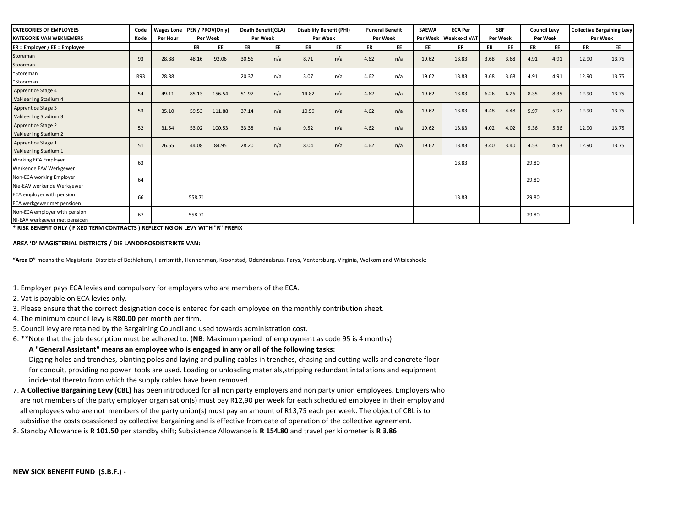| <b>CATEGORIES OF EMPLOYEES</b><br><b>KATEGORIE VAN WEKNEMERS</b> | Code<br>Kode | <b>Wages Lone</b><br>Per Hour |           | PEN / PROV(Only)<br>Death Benefit(GLA)<br><b>Per Week</b><br><b>Per Week</b> |       |     | <b>Disability Benefit (PHI)</b><br>Per Week |     | <b>Funeral Benefit</b><br>Per Week |     | <b>SAEWA</b> | <b>ECA Per</b><br><b>SBF</b><br>Per Week   Week excl VAT<br>Per Week |      |      | <b>Council Levy</b><br>Per Week |           | <b>Collective Bargaining Levy</b><br>Per Week |       |
|------------------------------------------------------------------|--------------|-------------------------------|-----------|------------------------------------------------------------------------------|-------|-----|---------------------------------------------|-----|------------------------------------|-----|--------------|----------------------------------------------------------------------|------|------|---------------------------------|-----------|-----------------------------------------------|-------|
| $ER =$ Employer / EE = Employee                                  |              |                               | <b>ER</b> | EE                                                                           | ER    | EE  | ER                                          | EE  | ER                                 | EE  | EE           | ER                                                                   | ER   | EE   | ER                              | <b>EE</b> | ER                                            | EE    |
| Storeman<br>Stoorman                                             | 93           | 28.88                         | 48.16     | 92.06                                                                        | 30.56 | n/a | 8.71                                        | n/a | 4.62                               | n/a | 19.62        | 13.83                                                                | 3.68 | 3.68 | 4.91                            | 4.91      | 12.90                                         | 13.75 |
| *Storeman<br>*Stoorman                                           | R93          | 28.88                         |           |                                                                              | 20.37 | n/a | 3.07                                        | n/a | 4.62                               | n/a | 19.62        | 13.83                                                                | 3.68 | 3.68 | 4.91                            | 4.91      | 12.90                                         | 13.75 |
| Apprentice Stage 4<br>Vakleerling Stadium 4                      | 54           | 49.11                         | 85.13     | 156.54                                                                       | 51.97 | n/a | 14.82                                       | n/a | 4.62                               | n/a | 19.62        | 13.83                                                                | 6.26 | 6.26 | 8.35                            | 8.35      | 12.90                                         | 13.75 |
| Apprentice Stage 3<br>Vakleerling Stadium 3                      | 53           | 35.10                         | 59.53     | 111.88                                                                       | 37.14 | n/a | 10.59                                       | n/a | 4.62                               | n/a | 19.62        | 13.83                                                                | 4.48 | 4.48 | 5.97                            | 5.97      | 12.90                                         | 13.75 |
| Apprentice Stage 2<br>Vakleerling Stadium 2                      | 52           | 31.54                         | 53.02     | 100.53                                                                       | 33.38 | n/a | 9.52                                        | n/a | 4.62                               | n/a | 19.62        | 13.83                                                                | 4.02 | 4.02 | 5.36                            | 5.36      | 12.90                                         | 13.75 |
| Apprentice Stage 1<br>Vakleerling Stadium 1                      | 51           | 26.65                         | 44.08     | 84.95                                                                        | 28.20 | n/a | 8.04                                        | n/a | 4.62                               | n/a | 19.62        | 13.83                                                                | 3.40 | 3.40 | 4.53                            | 4.53      | 12.90                                         | 13.75 |
| Working ECA Employer<br>Werkende EAV Werkgewer                   | 63           |                               |           |                                                                              |       |     |                                             |     |                                    |     |              | 13.83                                                                |      |      | 29.80                           |           |                                               |       |
| Non-ECA working Employer<br>Nie-EAV werkende Werkgewer           | 64           |                               |           |                                                                              |       |     |                                             |     |                                    |     |              |                                                                      |      |      | 29.80                           |           |                                               |       |
| ECA employer with pension<br>ECA werkgewer met pensioen          | 66           |                               | 558.71    |                                                                              |       |     |                                             |     |                                    |     |              | 13.83                                                                |      |      | 29.80                           |           |                                               |       |
| Non-ECA employer with pension<br>NI-EAV werkgewer met pensioen   | 67           |                               | 558.71    |                                                                              |       |     |                                             |     |                                    |     |              |                                                                      |      |      | 29.80                           |           |                                               |       |

**\* RISK BENEFIT ONLY ( FIXED TERM CONTRACTS ) REFLECTING ON LEVY WITH "R" PREFIX** 

## **AREA 'D' MAGISTERIAL DISTRICTS / DIE LANDDROSDISTRIKTE VAN:**

**"Area D"** means the Magisterial Districts of Bethlehem, Harrismith, Hennenman, Kroonstad, Odendaalsrus, Parys, Ventersburg, Virginia, Welkom and Witsieshoek;

- 1. Employer pays ECA levies and compulsory for employers who are members of the ECA.
- 2. Vat is payable on ECA levies only.
- 3. Please ensure that the correct designation code is entered for each employee on the monthly contribution sheet.
- 4. The minimum council levy is **R80.00** per month per firm.
- 5. Council levy are retained by the Bargaining Council and used towards administration cost.
- 6. \*\*Note that the job description must be adhered to. (**NB**: Maximum period of employment as code 95 is 4 months)

## **A "General Assistant" means an employee who is engaged in any or all of the following tasks:**

 Digging holes and trenches, planting poles and laying and pulling cables in trenches, chasing and cutting walls and concrete floor for conduit, providing no power tools are used. Loading or unloading materials,stripping redundant intallations and equipment incidental thereto from which the supply cables have been removed.

- are not members of the party employer organisation(s) must pay R12,90 per week for each scheduled employee in their employ and all employees who are not members of the party union(s) must pay an amount of R13,75 each per week. The object of CBL is to subsidise the costs ocassioned by collective bargaining and is effective from date of operation of the collective agreement. 7. **A Collective Bargaining Levy (CBL)** has been introduced for all non party employers and non party union employees. Employers who
- 8. Standby Allowance is **R 101.50** per standby shift; Subsistence Allowance is **R 154.80** and travel per kilometer is **R 3.86**

**NEW SICK BENEFIT FUND (S.B.F.) -**